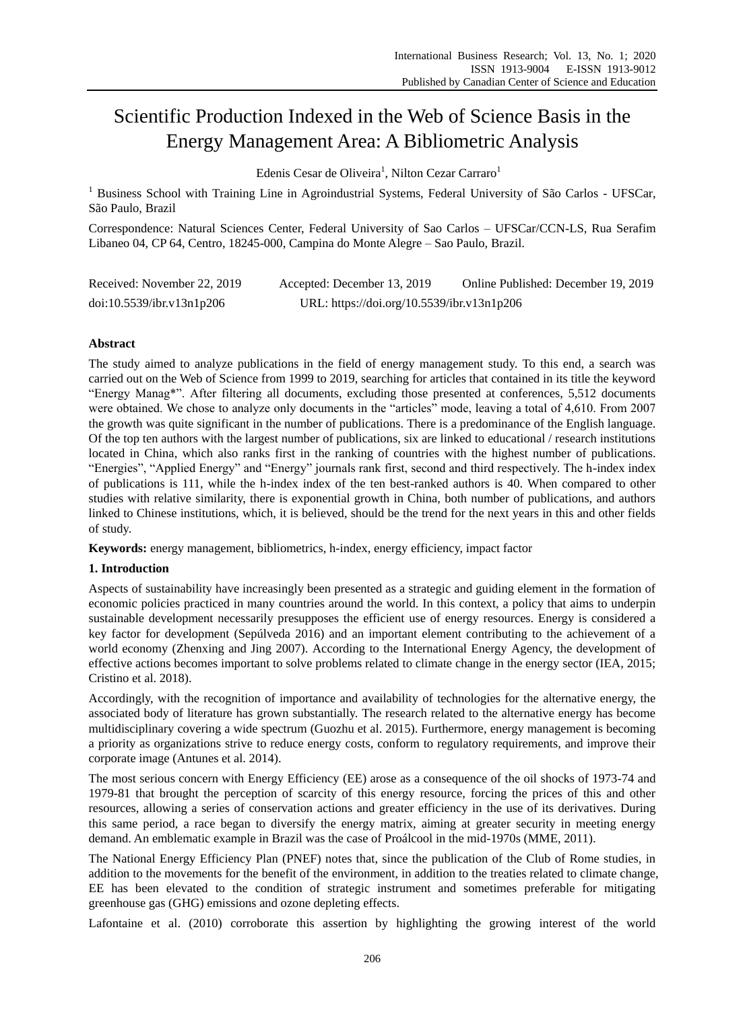# Scientific Production Indexed in the Web of Science Basis in the Energy Management Area: A Bibliometric Analysis

Edenis Cesar de Oliveira<sup>1</sup>, Nilton Cezar Carraro<sup>1</sup>

<sup>1</sup> Business School with Training Line in Agroindustrial Systems, Federal University of S $\tilde{\boldsymbol{\omega}}$  Carlos - UFSCar, São Paulo, Brazil

Correspondence: Natural Sciences Center, Federal University of Sao Carlos – UFSCar/CCN-LS, Rua Serafim Libaneo 04, CP 64, Centro, 18245-000, Campina do Monte Alegre – Sao Paulo, Brazil.

| Received: November 22, 2019 | Accepted: December 13, 2019                | Online Published: December 19, 2019 |
|-----------------------------|--------------------------------------------|-------------------------------------|
| doi:10.5539/ibr.v13n1p206   | URL: https://doi.org/10.5539/ibr.v13n1p206 |                                     |

# **Abstract**

The study aimed to analyze publications in the field of energy management study. To this end, a search was carried out on the Web of Science from 1999 to 2019, searching for articles that contained in its title the keyword "Energy Manag\*". After filtering all documents, excluding those presented at conferences, 5,512 documents were obtained. We chose to analyze only documents in the "articles" mode, leaving a total of 4,610. From 2007 the growth was quite significant in the number of publications. There is a predominance of the English language. Of the top ten authors with the largest number of publications, six are linked to educational / research institutions located in China, which also ranks first in the ranking of countries with the highest number of publications. "Energies", "Applied Energy" and "Energy" journals rank first, second and third respectively. The h-index index of publications is 111, while the h-index index of the ten best-ranked authors is 40. When compared to other studies with relative similarity, there is exponential growth in China, both number of publications, and authors linked to Chinese institutions, which, it is believed, should be the trend for the next years in this and other fields of study.

**Keywords:** energy management, bibliometrics, h-index, energy efficiency, impact factor

# **1. Introduction**

Aspects of sustainability have increasingly been presented as a strategic and guiding element in the formation of economic policies practiced in many countries around the world. In this context, a policy that aims to underpin sustainable development necessarily presupposes the efficient use of energy resources. Energy is considered a key factor for development (Sepúlveda 2016) and an important element contributing to the achievement of a world economy (Zhenxing and Jing 2007). According to the International Energy Agency, the development of effective actions becomes important to solve problems related to climate change in the energy sector (IEA, 2015; Cristino et al. 2018).

Accordingly, with the recognition of importance and availability of technologies for the alternative energy, the associated body of literature has grown substantially. The research related to the alternative energy has become multidisciplinary covering a wide spectrum (Guozhu et al. 2015). Furthermore, energy management is becoming a priority as organizations strive to reduce energy costs, conform to regulatory requirements, and improve their corporate image (Antunes et al. 2014).

The most serious concern with Energy Efficiency (EE) arose as a consequence of the oil shocks of 1973-74 and 1979-81 that brought the perception of scarcity of this energy resource, forcing the prices of this and other resources, allowing a series of conservation actions and greater efficiency in the use of its derivatives. During this same period, a race began to diversify the energy matrix, aiming at greater security in meeting energy demand. An emblematic example in Brazil was the case of Pro accol in the mid-1970s (MME, 2011).

The National Energy Efficiency Plan (PNEF) notes that, since the publication of the Club of Rome studies, in addition to the movements for the benefit of the environment, in addition to the treaties related to climate change, EE has been elevated to the condition of strategic instrument and sometimes preferable for mitigating greenhouse gas (GHG) emissions and ozone depleting effects.

Lafontaine et al. (2010) corroborate this assertion by highlighting the growing interest of the world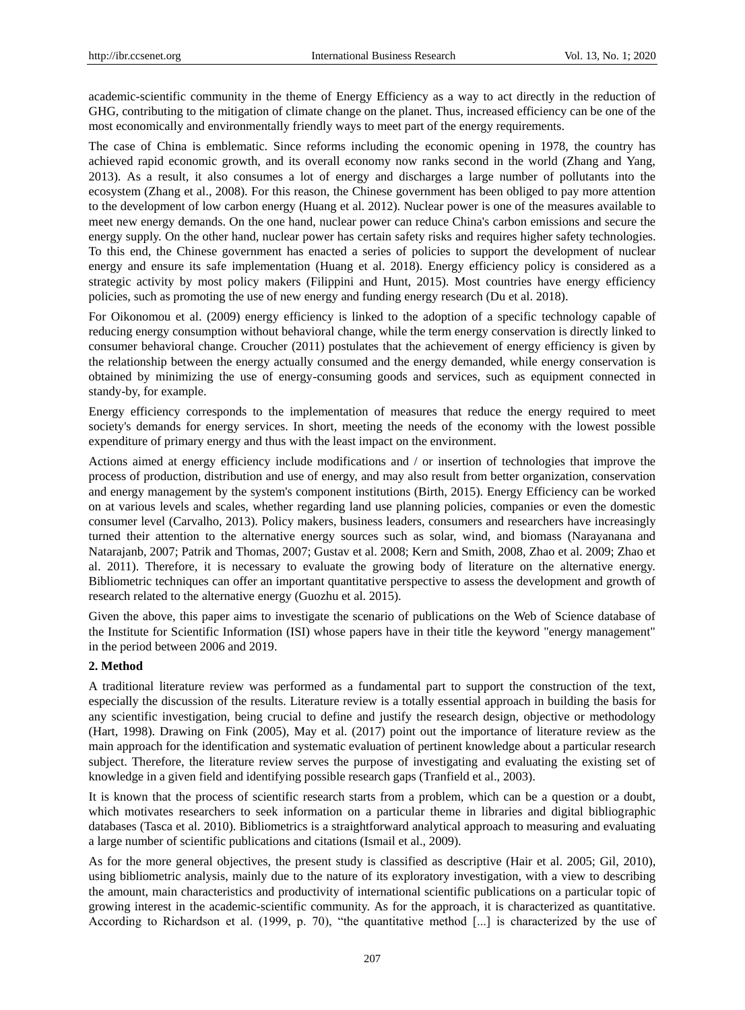academic-scientific community in the theme of Energy Efficiency as a way to act directly in the reduction of GHG, contributing to the mitigation of climate change on the planet. Thus, increased efficiency can be one of the most economically and environmentally friendly ways to meet part of the energy requirements.

The case of China is emblematic. Since reforms including the economic opening in 1978, the country has achieved rapid economic growth, and its overall economy now ranks second in the world (Zhang and Yang, 2013). As a result, it also consumes a lot of energy and discharges a large number of pollutants into the ecosystem (Zhang et al., 2008). For this reason, the Chinese government has been obliged to pay more attention to the development of low carbon energy (Huang et al. 2012). Nuclear power is one of the measures available to meet new energy demands. On the one hand, nuclear power can reduce China's carbon emissions and secure the energy supply. On the other hand, nuclear power has certain safety risks and requires higher safety technologies. To this end, the Chinese government has enacted a series of policies to support the development of nuclear energy and ensure its safe implementation (Huang et al. 2018). Energy efficiency policy is considered as a strategic activity by most policy makers (Filippini and Hunt, 2015). Most countries have energy efficiency policies, such as promoting the use of new energy and funding energy research (Du et al. 2018).

For Oikonomou et al. (2009) energy efficiency is linked to the adoption of a specific technology capable of reducing energy consumption without behavioral change, while the term energy conservation is directly linked to consumer behavioral change. Croucher (2011) postulates that the achievement of energy efficiency is given by the relationship between the energy actually consumed and the energy demanded, while energy conservation is obtained by minimizing the use of energy-consuming goods and services, such as equipment connected in standy-by, for example.

Energy efficiency corresponds to the implementation of measures that reduce the energy required to meet society's demands for energy services. In short, meeting the needs of the economy with the lowest possible expenditure of primary energy and thus with the least impact on the environment.

Actions aimed at energy efficiency include modifications and / or insertion of technologies that improve the process of production, distribution and use of energy, and may also result from better organization, conservation and energy management by the system's component institutions (Birth, 2015). Energy Efficiency can be worked on at various levels and scales, whether regarding land use planning policies, companies or even the domestic consumer level (Carvalho, 2013). Policy makers, business leaders, consumers and researchers have increasingly turned their attention to the alternative energy sources such as solar, wind, and biomass (Narayanana and Natarajanb, 2007; Patrik and Thomas, 2007; Gustav et al. 2008; Kern and Smith, 2008, Zhao et al. 2009; Zhao et al. 2011). Therefore, it is necessary to evaluate the growing body of literature on the alternative energy. Bibliometric techniques can offer an important quantitative perspective to assess the development and growth of research related to the alternative energy (Guozhu et al. 2015).

Given the above, this paper aims to investigate the scenario of publications on the Web of Science database of the Institute for Scientific Information (ISI) whose papers have in their title the keyword "energy management" in the period between 2006 and 2019.

## **2. Method**

A traditional literature review was performed as a fundamental part to support the construction of the text, especially the discussion of the results. Literature review is a totally essential approach in building the basis for any scientific investigation, being crucial to define and justify the research design, objective or methodology (Hart, 1998). Drawing on Fink (2005), May et al. (2017) point out the importance of literature review as the main approach for the identification and systematic evaluation of pertinent knowledge about a particular research subject. Therefore, the literature review serves the purpose of investigating and evaluating the existing set of knowledge in a given field and identifying possible research gaps (Tranfield et al., 2003).

It is known that the process of scientific research starts from a problem, which can be a question or a doubt, which motivates researchers to seek information on a particular theme in libraries and digital bibliographic databases (Tasca et al. 2010). Bibliometrics is a straightforward analytical approach to measuring and evaluating a large number of scientific publications and citations (Ismail et al., 2009).

As for the more general objectives, the present study is classified as descriptive (Hair et al. 2005; Gil, 2010), using bibliometric analysis, mainly due to the nature of its exploratory investigation, with a view to describing the amount, main characteristics and productivity of international scientific publications on a particular topic of growing interest in the academic-scientific community. As for the approach, it is characterized as quantitative. According to Richardson et al. (1999, p. 70), "the quantitative method [...] is characterized by the use of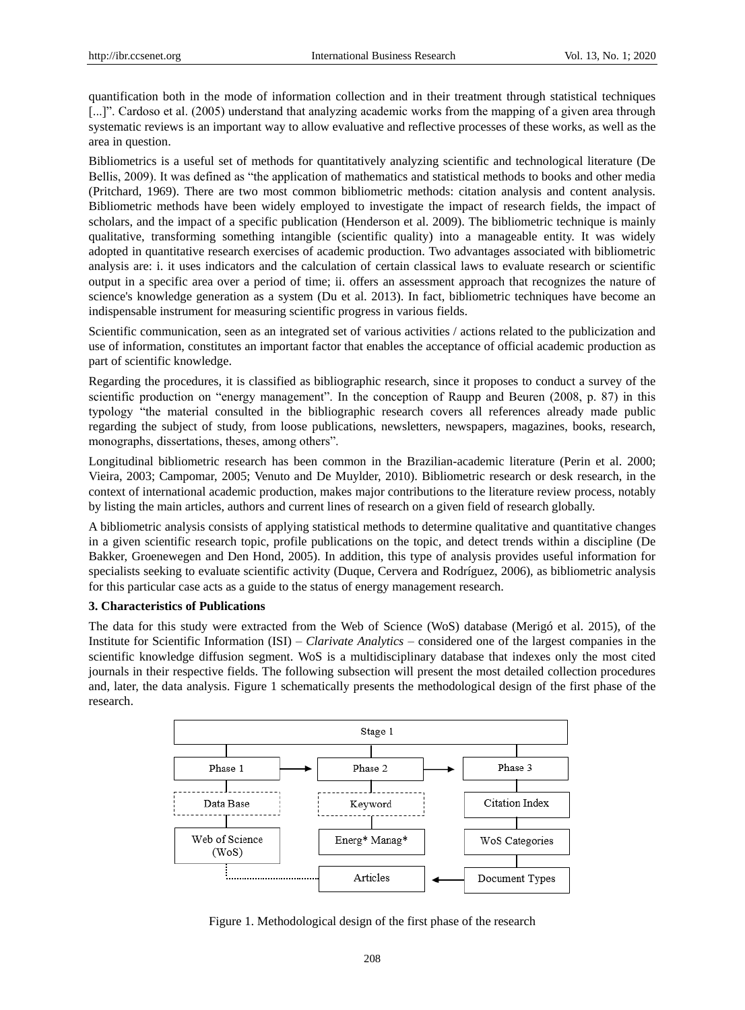quantification both in the mode of information collection and in their treatment through statistical techniques [...]". Cardoso et al. (2005) understand that analyzing academic works from the mapping of a given area through systematic reviews is an important way to allow evaluative and reflective processes of these works, as well as the area in question.

Bibliometrics is a useful set of methods for quantitatively analyzing scientific and technological literature (De Bellis, 2009). It was defined as "the application of mathematics and statistical methods to books and other media (Pritchard, 1969). There are two most common bibliometric methods: citation analysis and content analysis. Bibliometric methods have been widely employed to investigate the impact of research fields, the impact of scholars, and the impact of a specific publication (Henderson et al. 2009). The bibliometric technique is mainly qualitative, transforming something intangible (scientific quality) into a manageable entity. It was widely adopted in quantitative research exercises of academic production. Two advantages associated with bibliometric analysis are: i. it uses indicators and the calculation of certain classical laws to evaluate research or scientific output in a specific area over a period of time; ii. offers an assessment approach that recognizes the nature of science's knowledge generation as a system (Du et al. 2013). In fact, bibliometric techniques have become an indispensable instrument for measuring scientific progress in various fields.

Scientific communication, seen as an integrated set of various activities / actions related to the publicization and use of information, constitutes an important factor that enables the acceptance of official academic production as part of scientific knowledge.

Regarding the procedures, it is classified as bibliographic research, since it proposes to conduct a survey of the scientific production on "energy management". In the conception of Raupp and Beuren (2008, p. 87) in this typology "the material consulted in the bibliographic research covers all references already made public regarding the subject of study, from loose publications, newsletters, newspapers, magazines, books, research, monographs, dissertations, theses, among others".

Longitudinal bibliometric research has been common in the Brazilian-academic literature (Perin et al. 2000; Vieira, 2003; Campomar, 2005; Venuto and De Muylder, 2010). Bibliometric research or desk research, in the context of international academic production, makes major contributions to the literature review process, notably by listing the main articles, authors and current lines of research on a given field of research globally.

A bibliometric analysis consists of applying statistical methods to determine qualitative and quantitative changes in a given scientific research topic, profile publications on the topic, and detect trends within a discipline (De Bakker, Groenewegen and Den Hond, 2005). In addition, this type of analysis provides useful information for specialists seeking to evaluate scientific activity (Duque, Cervera and Rodr guez, 2006), as bibliometric analysis for this particular case acts as a guide to the status of energy management research.

## **3. Characteristics of Publications**

The data for this study were extracted from the Web of Science (WoS) database (Merigó et al. 2015), of the Institute for Scientific Information (ISI) – *Clarivate Analytics* – considered one of the largest companies in the scientific knowledge diffusion segment. WoS is a multidisciplinary database that indexes only the most cited journals in their respective fields. The following subsection will present the most detailed collection procedures and, later, the data analysis. Figure 1 schematically presents the methodological design of the first phase of the research.



Figure 1. Methodological design of the first phase of the research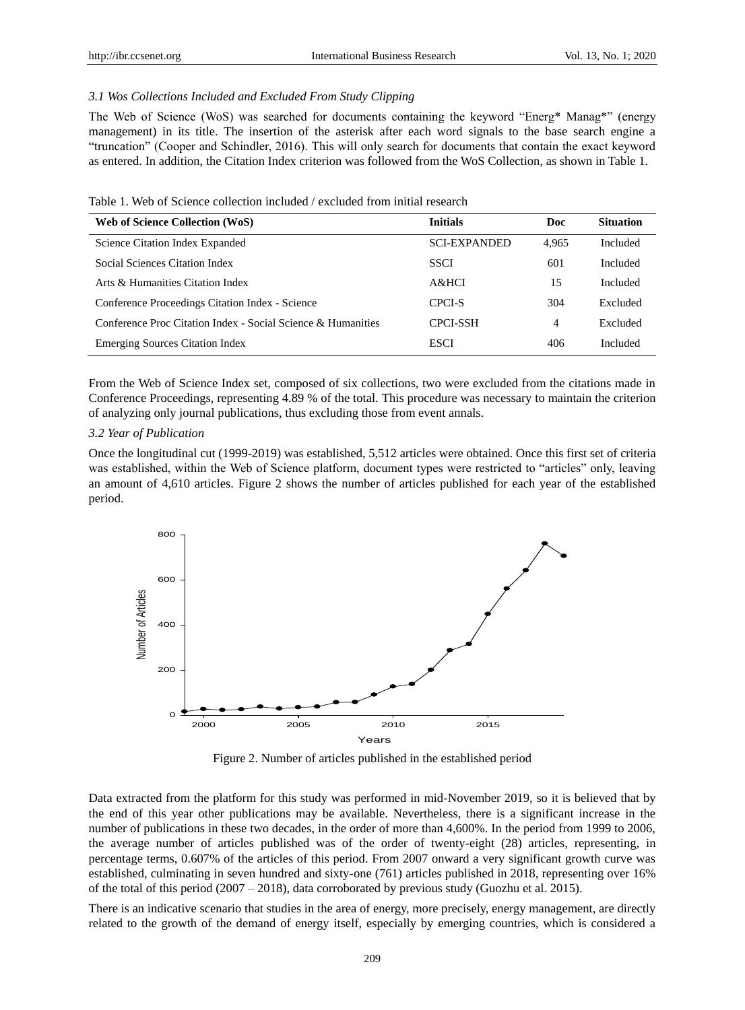## *3.1 Wos Collections Included and Excluded From Study Clipping*

The Web of Science (WoS) was searched for documents containing the keyword "Energ\* Manag\*" (energy management) in its title. The insertion of the asterisk after each word signals to the base search engine a "truncation" (Cooper and Schindler, 2016). This will only search for documents that contain the exact keyword as entered. In addition, the Citation Index criterion was followed from the WoS Collection, as shown in Table 1.

| Web of Science Collection (WoS)                              | <b>Initials</b>     | Doc   | <b>Situation</b> |
|--------------------------------------------------------------|---------------------|-------|------------------|
| Science Citation Index Expanded                              | <b>SCI-EXPANDED</b> | 4.965 | Included         |
| Social Sciences Citation Index                               | <b>SSCI</b>         | 601   | Included         |
| Arts & Humanities Citation Index                             | $A\&HCI$            | 15    | <b>Included</b>  |
| Conference Proceedings Citation Index - Science              | CPCI-S              | 304   | Excluded         |
| Conference Proc Citation Index - Social Science & Humanities | <b>CPCI-SSH</b>     | 4     | Excluded         |
| <b>Emerging Sources Citation Index</b>                       | <b>ESCI</b>         | 406   | Included         |

From the Web of Science Index set, composed of six collections, two were excluded from the citations made in Conference Proceedings, representing 4.89 % of the total. This procedure was necessary to maintain the criterion of analyzing only journal publications, thus excluding those from event annals.

#### *3.2 Year of Publication*

Once the longitudinal cut (1999-2019) was established, 5,512 articles were obtained. Once this first set of criteria was established, within the Web of Science platform, document types were restricted to "articles" only, leaving an amount of 4,610 articles. Figure 2 shows the number of articles published for each year of the established period.



Figure 2. Number of articles published in the established period

Data extracted from the platform for this study was performed in mid-November 2019, so it is believed that by the end of this year other publications may be available. Nevertheless, there is a significant increase in the number of publications in these two decades, in the order of more than 4,600%. In the period from 1999 to 2006, the average number of articles published was of the order of twenty-eight (28) articles, representing, in percentage terms, 0.607% of the articles of this period. From 2007 onward a very significant growth curve was established, culminating in seven hundred and sixty-one (761) articles published in 2018, representing over 16% of the total of this period  $(2007 - 2018)$ , data corroborated by previous study (Guozhu et al. 2015).

There is an indicative scenario that studies in the area of energy, more precisely, energy management, are directly related to the growth of the demand of energy itself, especially by emerging countries, which is considered a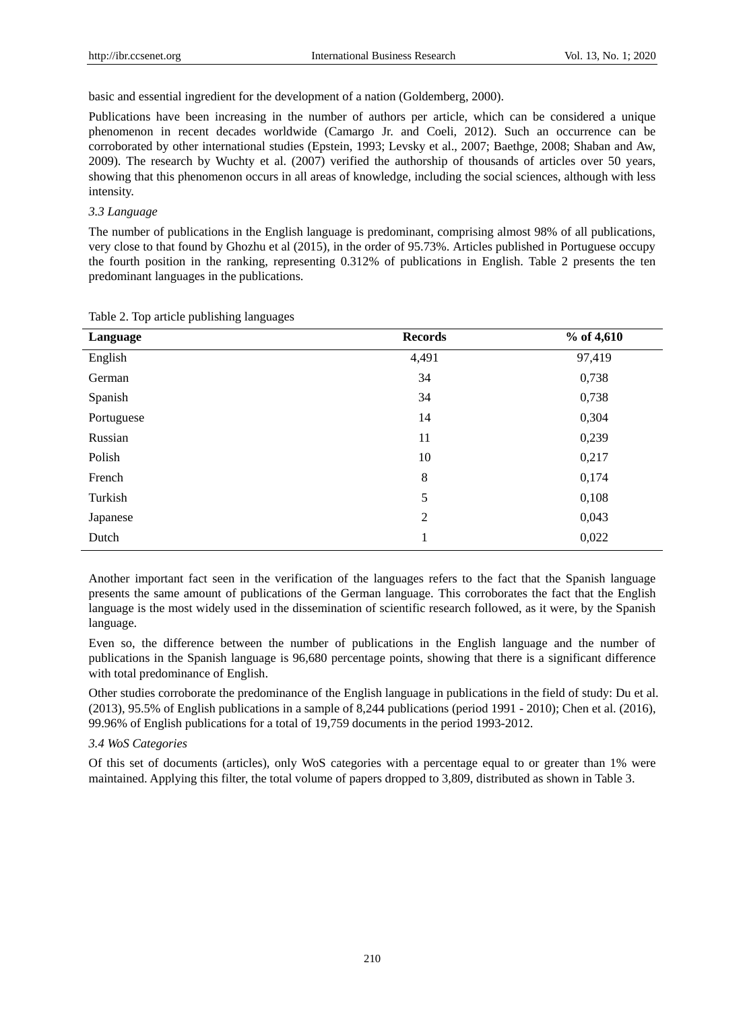basic and essential ingredient for the development of a nation (Goldemberg, 2000).

Publications have been increasing in the number of authors per article, which can be considered a unique phenomenon in recent decades worldwide (Camargo Jr. and Coeli, 2012). Such an occurrence can be corroborated by other international studies (Epstein, 1993; Levsky et al., 2007; Baethge, 2008; Shaban and Aw, 2009). The research by Wuchty et al. (2007) verified the authorship of thousands of articles over 50 years, showing that this phenomenon occurs in all areas of knowledge, including the social sciences, although with less intensity.

## *3.3 Language*

The number of publications in the English language is predominant, comprising almost 98% of all publications, very close to that found by Ghozhu et al (2015), in the order of 95.73%. Articles published in Portuguese occupy the fourth position in the ranking, representing 0.312% of publications in English. Table 2 presents the ten predominant languages in the publications.

| Language   | <b>Records</b> | $%$ of 4,610 |
|------------|----------------|--------------|
| English    | 4,491          | 97,419       |
| German     | 34             | 0,738        |
| Spanish    | 34             | 0,738        |
| Portuguese | 14             | 0,304        |
| Russian    | 11             | 0,239        |
| Polish     | 10             | 0,217        |
| French     | $\,8\,$        | 0,174        |
| Turkish    | 5              | 0,108        |
| Japanese   | 2              | 0,043        |
| Dutch      |                | 0,022        |

Table 2. Top article publishing languages

Another important fact seen in the verification of the languages refers to the fact that the Spanish language presents the same amount of publications of the German language. This corroborates the fact that the English language is the most widely used in the dissemination of scientific research followed, as it were, by the Spanish language.

Even so, the difference between the number of publications in the English language and the number of publications in the Spanish language is 96,680 percentage points, showing that there is a significant difference with total predominance of English.

Other studies corroborate the predominance of the English language in publications in the field of study: Du et al. (2013), 95.5% of English publications in a sample of 8,244 publications (period 1991 - 2010); Chen et al. (2016), 99.96% of English publications for a total of 19,759 documents in the period 1993-2012.

## *3.4 WoS Categories*

Of this set of documents (articles), only WoS categories with a percentage equal to or greater than 1% were maintained. Applying this filter, the total volume of papers dropped to 3,809, distributed as shown in Table 3.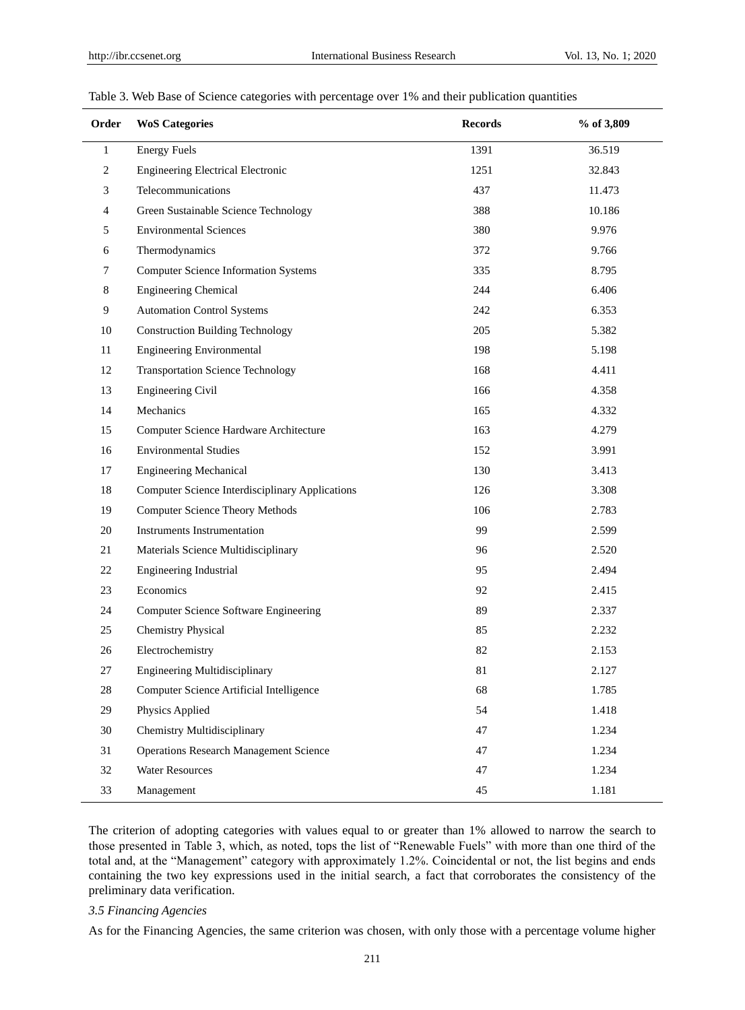| Order          | <b>WoS Categories</b>                                  | <b>Records</b> | % of 3,809 |
|----------------|--------------------------------------------------------|----------------|------------|
| $\mathbf{1}$   | <b>Energy Fuels</b>                                    | 1391           | 36.519     |
| $\sqrt{2}$     | <b>Engineering Electrical Electronic</b>               | 1251           | 32.843     |
| 3              | Telecommunications                                     | 437            | 11.473     |
| $\overline{4}$ | Green Sustainable Science Technology                   | 388            | 10.186     |
| $\sqrt{5}$     | <b>Environmental Sciences</b>                          | 380            | 9.976      |
| 6              | Thermodynamics                                         | 372            | 9.766      |
| $\tau$         | <b>Computer Science Information Systems</b>            | 335            | 8.795      |
| 8              | <b>Engineering Chemical</b>                            | 244            | 6.406      |
| $\overline{9}$ | <b>Automation Control Systems</b>                      | 242            | 6.353      |
| 10             | <b>Construction Building Technology</b>                | 205            | 5.382      |
| 11             | <b>Engineering Environmental</b>                       | 198            | 5.198      |
| 12             | <b>Transportation Science Technology</b>               | 168            | 4.411      |
| 13             | <b>Engineering Civil</b>                               | 166            | 4.358      |
| 14             | Mechanics                                              | 165            | 4.332      |
| 15             | Computer Science Hardware Architecture                 | 163            | 4.279      |
| 16             | <b>Environmental Studies</b>                           | 152            | 3.991      |
| 17             | <b>Engineering Mechanical</b>                          | 130            | 3.413      |
| 18             | <b>Computer Science Interdisciplinary Applications</b> | 126            | 3.308      |
| 19             | <b>Computer Science Theory Methods</b>                 | 106            | 2.783      |
| 20             | <b>Instruments Instrumentation</b>                     | 99             | 2.599      |
| 21             | Materials Science Multidisciplinary                    | 96             | 2.520      |
| 22             | Engineering Industrial                                 | 95             | 2.494      |
| 23             | Economics                                              | 92             | 2.415      |
| 24             | Computer Science Software Engineering                  | 89             | 2.337      |
| 25             | <b>Chemistry Physical</b>                              | 85             | 2.232      |
| 26             | Electrochemistry                                       | 82             | 2.153      |
| 27             | <b>Engineering Multidisciplinary</b>                   | $8\sqrt{1}$    | 2.127      |
| 28             | Computer Science Artificial Intelligence               | 68             | 1.785      |
| 29             | Physics Applied                                        | 54             | 1.418      |
| 30             | Chemistry Multidisciplinary                            | 47             | 1.234      |
| 31             | <b>Operations Research Management Science</b>          | 47             | 1.234      |
| 32             | <b>Water Resources</b>                                 | 47             | 1.234      |
| 33             | Management                                             | 45             | 1.181      |

#### Table 3. Web Base of Science categories with percentage over 1% and their publication quantities

The criterion of adopting categories with values equal to or greater than 1% allowed to narrow the search to those presented in Table 3, which, as noted, tops the list of "Renewable Fuels" with more than one third of the total and, at the "Management" category with approximately 1.2%. Coincidental or not, the list begins and ends containing the two key expressions used in the initial search, a fact that corroborates the consistency of the preliminary data verification.

# *3.5 Financing Agencies*

As for the Financing Agencies, the same criterion was chosen, with only those with a percentage volume higher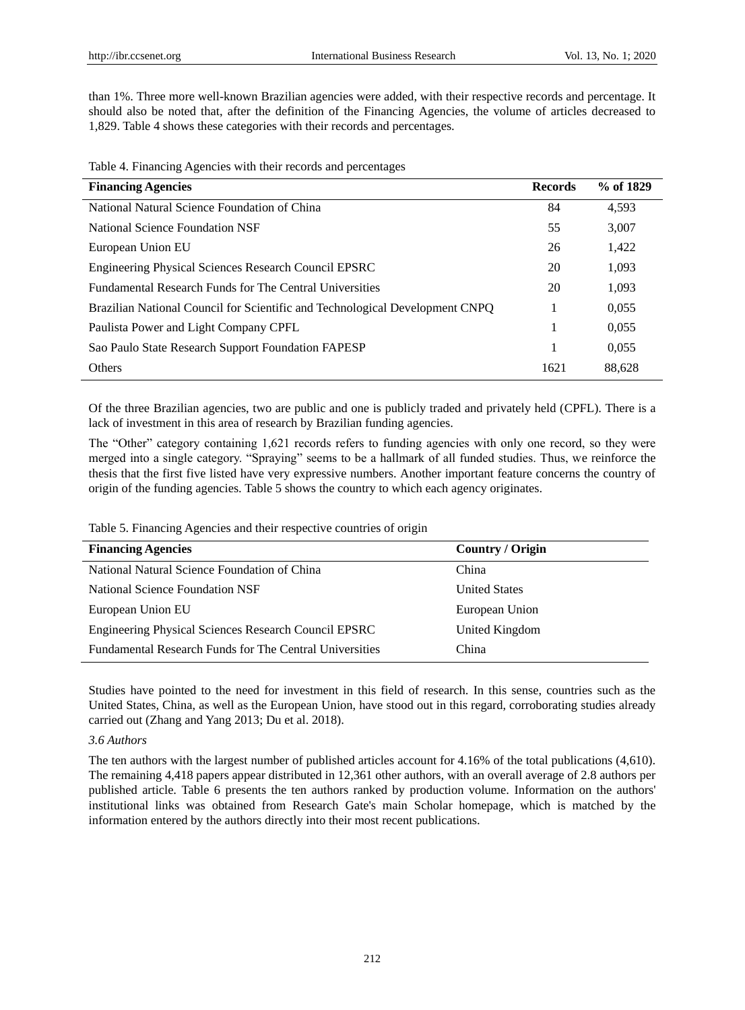than 1%. Three more well-known Brazilian agencies were added, with their respective records and percentage. It should also be noted that, after the definition of the Financing Agencies, the volume of articles decreased to 1,829. Table 4 shows these categories with their records and percentages.

Table 4. Financing Agencies with their records and percentages

| <b>Financing Agencies</b>                                                    | <b>Records</b> | % of 1829 |
|------------------------------------------------------------------------------|----------------|-----------|
| National Natural Science Foundation of China                                 | 84             | 4,593     |
| National Science Foundation NSF                                              | 55             | 3,007     |
| European Union EU                                                            | 26             | 1,422     |
| Engineering Physical Sciences Research Council EPSRC                         | 20             | 1,093     |
| <b>Fundamental Research Funds for The Central Universities</b>               | 20             | 1,093     |
| Brazilian National Council for Scientific and Technological Development CNPQ |                | 0,055     |
| Paulista Power and Light Company CPFL                                        |                | 0,055     |
| Sao Paulo State Research Support Foundation FAPESP                           |                | 0,055     |
| Others                                                                       | 1621           | 88,628    |

Of the three Brazilian agencies, two are public and one is publicly traded and privately held (CPFL). There is a lack of investment in this area of research by Brazilian funding agencies.

The "Other" category containing 1,621 records refers to funding agencies with only one record, so they were merged into a single category. "Spraying" seems to be a hallmark of all funded studies. Thus, we reinforce the thesis that the first five listed have very expressive numbers. Another important feature concerns the country of origin of the funding agencies. Table 5 shows the country to which each agency originates.

Table 5. Financing Agencies and their respective countries of origin

| <b>Financing Agencies</b>                                      | <b>Country / Origin</b> |
|----------------------------------------------------------------|-------------------------|
| National Natural Science Foundation of China                   | China                   |
| National Science Foundation NSF                                | <b>United States</b>    |
| European Union EU                                              | European Union          |
| Engineering Physical Sciences Research Council EPSRC           | United Kingdom          |
| <b>Fundamental Research Funds for The Central Universities</b> | China                   |

Studies have pointed to the need for investment in this field of research. In this sense, countries such as the United States, China, as well as the European Union, have stood out in this regard, corroborating studies already carried out (Zhang and Yang 2013; Du et al. 2018).

## *3.6 Authors*

The ten authors with the largest number of published articles account for 4.16% of the total publications (4,610). The remaining 4,418 papers appear distributed in 12,361 other authors, with an overall average of 2.8 authors per published article. Table 6 presents the ten authors ranked by production volume. Information on the authors' institutional links was obtained from Research Gate's main Scholar homepage, which is matched by the information entered by the authors directly into their most recent publications.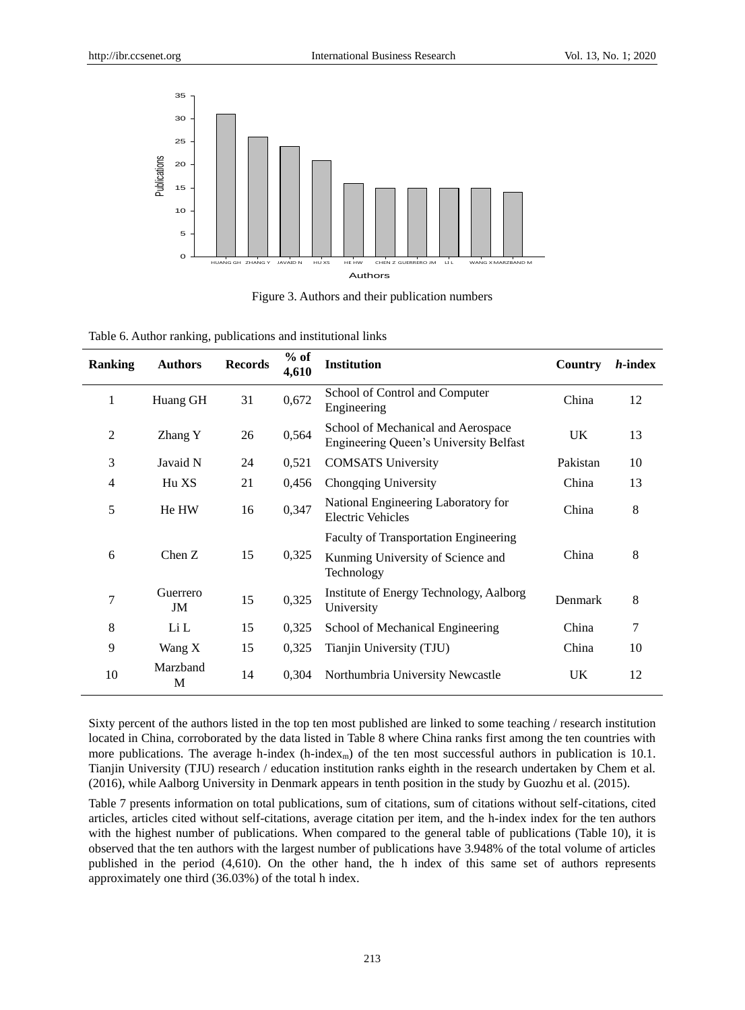

Figure 3. Authors and their publication numbers

| <b>Ranking</b> | <b>Authors</b> | <b>Records</b> | $%$ of<br>4,610 | <b>Institution</b>                                                                              | Country   | <i>h</i> -index |
|----------------|----------------|----------------|-----------------|-------------------------------------------------------------------------------------------------|-----------|-----------------|
| 1              | Huang GH       | 31             | 0,672           | School of Control and Computer<br>Engineering                                                   | China     | 12              |
| $\mathbf{2}$   | Zhang Y        | 26             | 0,564           | School of Mechanical and Aerospace<br><b>Engineering Queen's University Belfast</b>             | UK        | 13              |
| 3              | Javaid N       | 24             | 0,521           | <b>COMSATS University</b>                                                                       | Pakistan  | 10              |
| 4              | Hu XS          | 21             | 0,456           | Chongqing University                                                                            | China     | 13              |
| 5              | He HW          | 16             | 0,347           | National Engineering Laboratory for<br>Electric Vehicles                                        | China     | 8               |
| 6              | Chen Z         | 15             | 0,325           | <b>Faculty of Transportation Engineering</b><br>Kunming University of Science and<br>Technology | China     | 8               |
| 7              | Guerrero<br>JM | 15             | 0,325           | Institute of Energy Technology, Aalborg<br>University                                           | Denmark   | 8               |
| 8              | Li L           | 15             | 0,325           | School of Mechanical Engineering                                                                | China     | 7               |
| 9              | Wang X         | 15             | 0,325           | Tianjin University (TJU)                                                                        | China     | 10              |
| 10             | Marzband<br>M  | 14             | 0,304           | Northumbria University Newcastle                                                                | <b>UK</b> | 12              |

Table 6. Author ranking, publications and institutional links

Sixty percent of the authors listed in the top ten most published are linked to some teaching / research institution located in China, corroborated by the data listed in Table 8 where China ranks first among the ten countries with more publications. The average h-index (h-index<sub>m</sub>) of the ten most successful authors in publication is 10.1. Tianjin University (TJU) research / education institution ranks eighth in the research undertaken by Chem et al. (2016), while Aalborg University in Denmark appears in tenth position in the study by Guozhu et al. (2015).

Table 7 presents information on total publications, sum of citations, sum of citations without self-citations, cited articles, articles cited without self-citations, average citation per item, and the h-index index for the ten authors with the highest number of publications. When compared to the general table of publications (Table 10), it is observed that the ten authors with the largest number of publications have 3.948% of the total volume of articles published in the period (4,610). On the other hand, the h index of this same set of authors represents approximately one third (36.03%) of the total h index.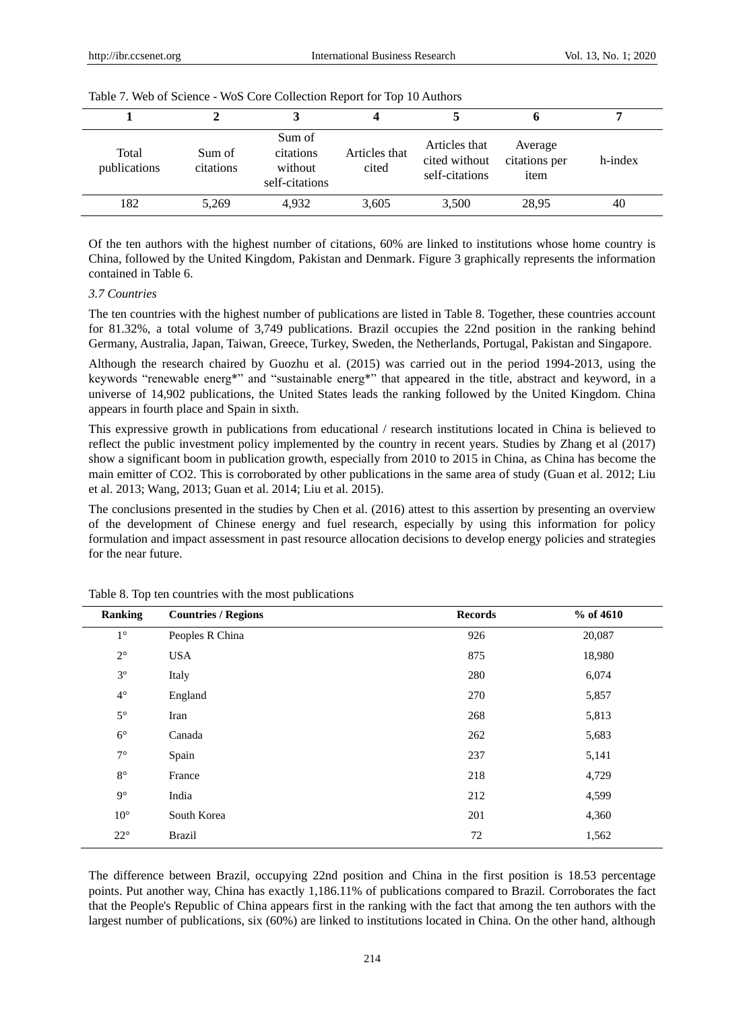| Total<br>publications | Sum of<br>citations | Sum of<br>citations<br>without<br>self-citations | Articles that<br>cited | Articles that<br>cited without<br>self-citations | Average<br>citations per<br>item | h-index |
|-----------------------|---------------------|--------------------------------------------------|------------------------|--------------------------------------------------|----------------------------------|---------|
| 182                   | 5,269               | 4.932                                            | 3,605                  | 3,500                                            | 28,95                            | 40      |

Of the ten authors with the highest number of citations, 60% are linked to institutions whose home country is China, followed by the United Kingdom, Pakistan and Denmark. Figure 3 graphically represents the information contained in Table 6.

## *3.7 Countries*

The ten countries with the highest number of publications are listed in Table 8. Together, these countries account for 81.32%, a total volume of 3,749 publications. Brazil occupies the 22nd position in the ranking behind Germany, Australia, Japan, Taiwan, Greece, Turkey, Sweden, the Netherlands, Portugal, Pakistan and Singapore.

Although the research chaired by Guozhu et al. (2015) was carried out in the period 1994-2013, using the keywords "renewable energ\*" and "sustainable energ\*" that appeared in the title, abstract and keyword, in a universe of 14,902 publications, the United States leads the ranking followed by the United Kingdom. China appears in fourth place and Spain in sixth.

This expressive growth in publications from educational / research institutions located in China is believed to reflect the public investment policy implemented by the country in recent years. Studies by Zhang et al (2017) show a significant boom in publication growth, especially from 2010 to 2015 in China, as China has become the main emitter of CO2. This is corroborated by other publications in the same area of study (Guan et al. 2012; Liu et al. 2013; Wang, 2013; Guan et al. 2014; Liu et al. 2015).

The conclusions presented in the studies by Chen et al. (2016) attest to this assertion by presenting an overview of the development of Chinese energy and fuel research, especially by using this information for policy formulation and impact assessment in past resource allocation decisions to develop energy policies and strategies for the near future.

| <b>Ranking</b>  | <b>Countries / Regions</b> | <b>Records</b> | % of 4610 |
|-----------------|----------------------------|----------------|-----------|
| $1^{\circ}$     | Peoples R China            | 926            | 20,087    |
| $2^{\circ}$     | <b>USA</b>                 | 875            | 18,980    |
| $3^{\circ}$     | Italy                      | 280            | 6,074     |
| 4 $^{\circ}$    | England                    | 270            | 5,857     |
| $5^{\circ}$     | Iran                       | 268            | 5,813     |
| $6^{\circ}$     | Canada                     | 262            | 5,683     |
| $7^{\circ}$     | Spain                      | 237            | 5,141     |
| $8^{\circ}$     | France                     | 218            | 4,729     |
| $9^{\circ}$     | India                      | 212            | 4,599     |
| $10$ $^{\circ}$ | South Korea                | 201            | 4,360     |
| $22^{\circ}$    | <b>Brazil</b>              | 72             | 1,562     |

Table 8. Top ten countries with the most publications

The difference between Brazil, occupying 22nd position and China in the first position is 18.53 percentage points. Put another way, China has exactly 1,186.11% of publications compared to Brazil. Corroborates the fact that the People's Republic of China appears first in the ranking with the fact that among the ten authors with the largest number of publications, six (60%) are linked to institutions located in China. On the other hand, although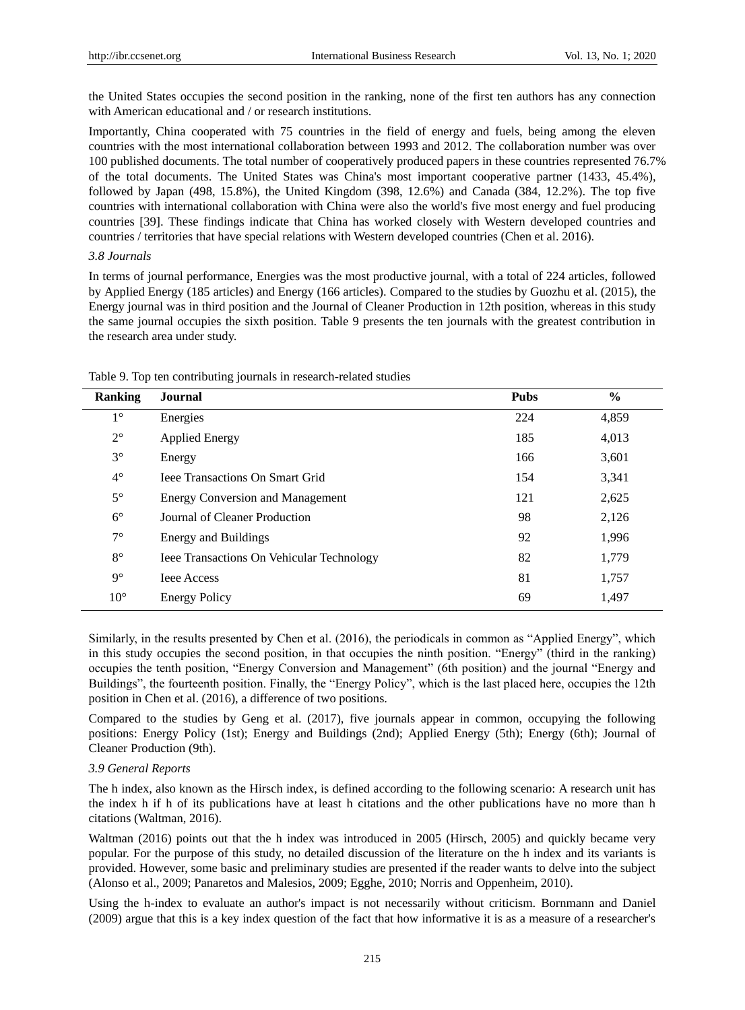the United States occupies the second position in the ranking, none of the first ten authors has any connection with American educational and / or research institutions.

Importantly, China cooperated with 75 countries in the field of energy and fuels, being among the eleven countries with the most international collaboration between 1993 and 2012. The collaboration number was over 100 published documents. The total number of cooperatively produced papers in these countries represented 76.7% of the total documents. The United States was China's most important cooperative partner (1433, 45.4%), followed by Japan (498, 15.8%), the United Kingdom (398, 12.6%) and Canada (384, 12.2%). The top five countries with international collaboration with China were also the world's five most energy and fuel producing countries [39]. These findings indicate that China has worked closely with Western developed countries and countries / territories that have special relations with Western developed countries (Chen et al. 2016).

## *3.8 Journals*

In terms of journal performance, Energies was the most productive journal, with a total of 224 articles, followed by Applied Energy (185 articles) and Energy (166 articles). Compared to the studies by Guozhu et al. (2015), the Energy journal was in third position and the Journal of Cleaner Production in 12th position, whereas in this study the same journal occupies the sixth position. Table 9 presents the ten journals with the greatest contribution in the research area under study.

| <b>Ranking</b> | Journal                                          | <b>Pubs</b> | $\frac{6}{6}$ |
|----------------|--------------------------------------------------|-------------|---------------|
| $1^{\circ}$    | Energies                                         | 224         | 4,859         |
| $2^{\circ}$    | <b>Applied Energy</b>                            | 185         | 4,013         |
| $3^{\circ}$    | Energy                                           | 166         | 3,601         |
| $4^{\circ}$    | <b>Ieee Transactions On Smart Grid</b>           | 154         | 3,341         |
| $5^{\circ}$    | <b>Energy Conversion and Management</b>          | 121         | 2,625         |
| $6^{\circ}$    | Journal of Cleaner Production                    | 98          | 2,126         |
| $7^{\circ}$    | Energy and Buildings                             | 92          | 1,996         |
| $8^{\circ}$    | <b>Ieee Transactions On Vehicular Technology</b> | 82          | 1,779         |
| $9^{\circ}$    | <b>Ieee Access</b>                               | 81          | 1,757         |
| $10^{\circ}$   | <b>Energy Policy</b>                             | 69          | 1.497         |

Table 9. Top ten contributing journals in research-related studies

Similarly, in the results presented by Chen et al. (2016), the periodicals in common as "Applied Energy", which in this study occupies the second position, in that occupies the ninth position. "Energy" (third in the ranking) occupies the tenth position, "Energy Conversion and Management" (6th position) and the journal "Energy and Buildings", the fourteenth position. Finally, the "Energy Policy", which is the last placed here, occupies the 12th position in Chen et al. (2016), a difference of two positions.

Compared to the studies by Geng et al. (2017), five journals appear in common, occupying the following positions: Energy Policy (1st); Energy and Buildings (2nd); Applied Energy (5th); Energy (6th); Journal of Cleaner Production (9th).

# *3.9 General Reports*

The h index, also known as the Hirsch index, is defined according to the following scenario: A research unit has the index h if h of its publications have at least h citations and the other publications have no more than h citations (Waltman, 2016).

Waltman (2016) points out that the h index was introduced in 2005 (Hirsch, 2005) and quickly became very popular. For the purpose of this study, no detailed discussion of the literature on the h index and its variants is provided. However, some basic and preliminary studies are presented if the reader wants to delve into the subject (Alonso et al., 2009; Panaretos and Malesios, 2009; Egghe, 2010; Norris and Oppenheim, 2010).

Using the h-index to evaluate an author's impact is not necessarily without criticism. Bornmann and Daniel (2009) argue that this is a key index question of the fact that how informative it is as a measure of a researcher's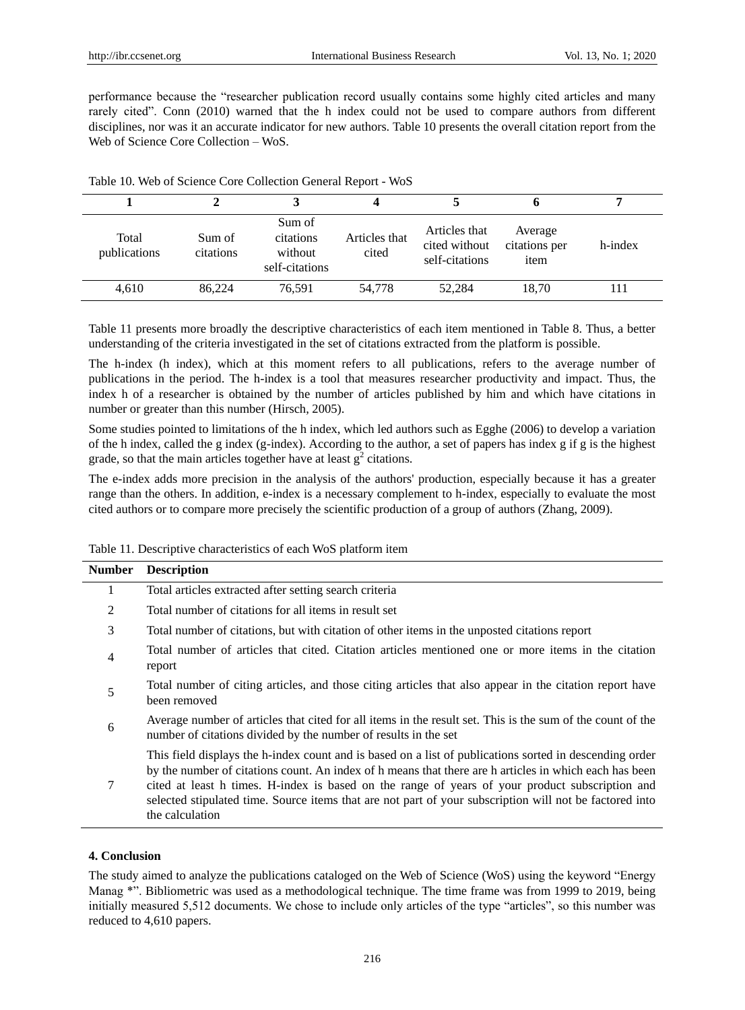performance because the "researcher publication record usually contains some highly cited articles and many rarely cited". Conn (2010) warned that the h index could not be used to compare authors from different disciplines, nor was it an accurate indicator for new authors. Table 10 presents the overall citation report from the Web of Science Core Collection – WoS.

| Total<br>publications | Sum of<br>citations | Sum of<br>citations<br>without<br>self-citations | Articles that<br>cited | Articles that<br>cited without<br>self-citations | Average<br>citations per<br>item | h-index |
|-----------------------|---------------------|--------------------------------------------------|------------------------|--------------------------------------------------|----------------------------------|---------|
| 4,610                 | 86.224              | 76,591                                           | 54.778                 | 52,284                                           | 18.70                            |         |

Table 10. Web of Science Core Collection General Report - WoS

Table 11 presents more broadly the descriptive characteristics of each item mentioned in Table 8. Thus, a better understanding of the criteria investigated in the set of citations extracted from the platform is possible.

The h-index (h index), which at this moment refers to all publications, refers to the average number of publications in the period. The h-index is a tool that measures researcher productivity and impact. Thus, the index h of a researcher is obtained by the number of articles published by him and which have citations in number or greater than this number (Hirsch, 2005).

Some studies pointed to limitations of the h index, which led authors such as Egghe (2006) to develop a variation of the h index, called the g index (g-index). According to the author, a set of papers has index g if g is the highest grade, so that the main articles together have at least  $g^2$  citations.

The e-index adds more precision in the analysis of the authors' production, especially because it has a greater range than the others. In addition, e-index is a necessary complement to h-index, especially to evaluate the most cited authors or to compare more precisely the scientific production of a group of authors (Zhang, 2009).

| Table 11. Descriptive characteristics of each WoS platform item |  |  |  |  |
|-----------------------------------------------------------------|--|--|--|--|
|-----------------------------------------------------------------|--|--|--|--|

| <b>Number</b>  | <b>Description</b>                                                                                                                                                                                                                                                                                                                                                                                                                                 |
|----------------|----------------------------------------------------------------------------------------------------------------------------------------------------------------------------------------------------------------------------------------------------------------------------------------------------------------------------------------------------------------------------------------------------------------------------------------------------|
| 1              | Total articles extracted after setting search criteria                                                                                                                                                                                                                                                                                                                                                                                             |
| 2              | Total number of citations for all items in result set                                                                                                                                                                                                                                                                                                                                                                                              |
| 3              | Total number of citations, but with citation of other items in the unposted citations report                                                                                                                                                                                                                                                                                                                                                       |
| $\overline{4}$ | Total number of articles that cited. Citation articles mentioned one or more items in the citation<br>report                                                                                                                                                                                                                                                                                                                                       |
| 5              | Total number of citing articles, and those citing articles that also appear in the citation report have<br>been removed                                                                                                                                                                                                                                                                                                                            |
| 6              | Average number of articles that cited for all items in the result set. This is the sum of the count of the<br>number of citations divided by the number of results in the set                                                                                                                                                                                                                                                                      |
| 7              | This field displays the h-index count and is based on a list of publications sorted in descending order<br>by the number of citations count. An index of h means that there are h articles in which each has been<br>cited at least h times. H-index is based on the range of years of your product subscription and<br>selected stipulated time. Source items that are not part of your subscription will not be factored into<br>the calculation |

#### **4. Conclusion**

The study aimed to analyze the publications cataloged on the Web of Science (WoS) using the keyword "Energy Manag \*". Bibliometric was used as a methodological technique. The time frame was from 1999 to 2019, being initially measured 5,512 documents. We chose to include only articles of the type "articles", so this number was reduced to 4,610 papers.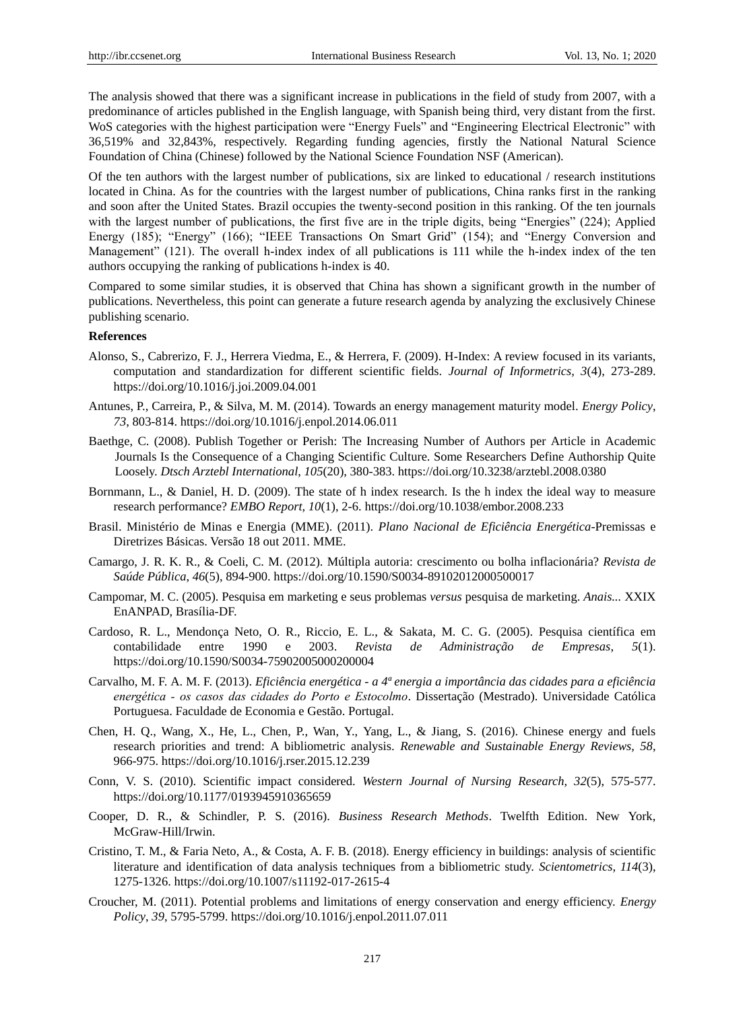The analysis showed that there was a significant increase in publications in the field of study from 2007, with a predominance of articles published in the English language, with Spanish being third, very distant from the first. WoS categories with the highest participation were "Energy Fuels" and "Engineering Electrical Electronic" with 36,519% and 32,843%, respectively. Regarding funding agencies, firstly the National Natural Science Foundation of China (Chinese) followed by the National Science Foundation NSF (American).

Of the ten authors with the largest number of publications, six are linked to educational / research institutions located in China. As for the countries with the largest number of publications, China ranks first in the ranking and soon after the United States. Brazil occupies the twenty-second position in this ranking. Of the ten journals with the largest number of publications, the first five are in the triple digits, being "Energies" (224); Applied Energy (185); "Energy" (166); "IEEE Transactions On Smart Grid" (154); and "Energy Conversion and Management" (121). The overall h-index index of all publications is 111 while the h-index index of the ten authors occupying the ranking of publications h-index is 40.

Compared to some similar studies, it is observed that China has shown a significant growth in the number of publications. Nevertheless, this point can generate a future research agenda by analyzing the exclusively Chinese publishing scenario.

# **References**

- Alonso, S., Cabrerizo, F. J., Herrera Viedma, E., & Herrera, F. (2009). H-Index: A review focused in its variants, computation and standardization for different scientific fields. *Journal of Informetrics, 3*(4), 273-289. <https://doi.org/10.1016/j.joi.2009.04.001>
- Antunes, P., Carreira, P., & Silva, M. M. (2014). Towards an energy management maturity model. *Energy Policy*, *73*, 803-814.<https://doi.org/10.1016/j.enpol.2014.06.011>
- [Baethge, C](http://www.ncbi.nlm.nih.gov/pubmed/?term=Baethge%20C%5Bauth%5D). (2008). Publish Together or Perish: The Increasing Number of Authors per Article in Academic Journals Is the Consequence of a Changing Scientific Culture. Some Researchers Define Authorship Quite Loosely. *Dtsch Arztebl International*, *105*(20), 380-383.<https://doi.org/10.3238/arztebl.2008.0380>
- Bornmann, L., & Daniel, H. D. (2009). The state of h index research. Is the h index the ideal way to measure research performance? *EMBO Report, 10*(1), 2-6[. https://doi.org/10.1038/embor.2008.233](https://doi.org/10.1038/embor.2008.233)
- Brasil. Ministério de Minas e Energia (MME). (2011). *Plano Nacional de Eficiência Energética-*Premissas e Diretrizes Básicas. Versão 18 out 2011. MME.
- Camargo, J. R. K. R., & Coeli, C. M. (2012). Múltipla autoria: crescimento ou bolha inflacionária? *Revista de Saúde Pública*, *46*(5), 894-900.<https://doi.org/10.1590/S0034-89102012000500017>
- Campomar, M. C. (2005). Pesquisa em marketing e seus problemas *versus* pesquisa de marketing. *Anais...* XXIX EnANPAD, Bras fia-DF.
- Cardoso, R. L., Mendonça Neto, O. R., Riccio, E. L., & Sakata, M. C. G. (2005). Pesquisa científica em contabilidade entre 1990 e 2003. *Revista de Administração de Empresas*, *5*(1). <https://doi.org/10.1590/S0034-75902005000200004>
- Carvalho, M. F. A. M. F. (2013). *Eficiência energética - a 4ª energia a importância das cidades para a eficiência energética ‐ os casos das cidades do Porto e Estocolmo*. Dissertação (Mestrado). Universidade Católica Portuguesa. Faculdade de Economia e Gestão. Portugal.
- Chen, H. Q., Wang, X., He, L., Chen, P., Wan, Y., Yang, L., & Jiang, S. (2016). Chinese energy and fuels research priorities and trend: A bibliometric analysis. *Renewable and Sustainable Energy Reviews, 58*, 966-975.<https://doi.org/10.1016/j.rser.2015.12.239>
- Conn, V. S. (2010). Scientific impact considered. *Western Journal of Nursing Research, 32*(5), 575-577. <https://doi.org/10.1177/0193945910365659>
- Cooper, D. R., & Schindler, P. S. (2016). *Business Research Methods*. Twelfth Edition. New York, McGraw-Hill/Irwin.
- Cristino, T. M., & Faria Neto, A., & Costa, A. F. B. (2018). Energy efficiency in buildings: analysis of scientific literature and identification of data analysis techniques from a bibliometric study. *[Scientometrics,](https://link-springer-com.ez31.periodicos.capes.gov.br/journal/11192) 114*[\(3\)](https://link-springer-com.ez31.periodicos.capes.gov.br/journal/11192/114/3/page/1), 1275-1326.<https://doi.org/10.1007/s11192-017-2615-4>
- Croucher, M. (2011). Potential problems and limitations of energy conservation and energy efficiency. *Energy Policy*, *39*, 5795-5799. <https://doi.org/10.1016/j.enpol.2011.07.011>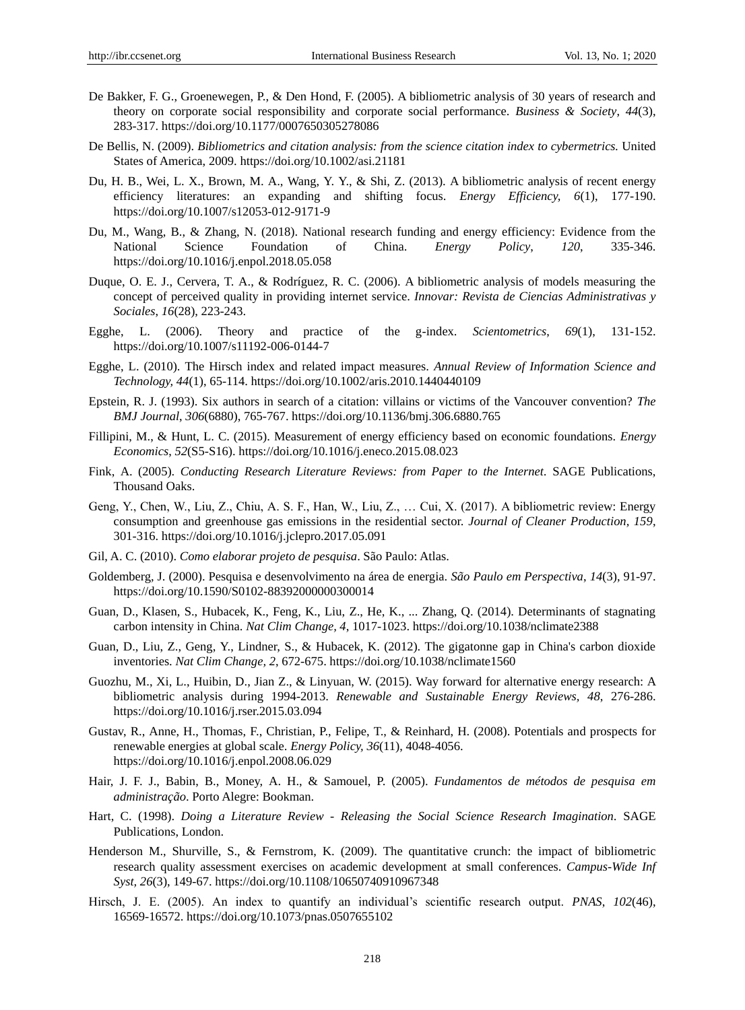- De Bakker, F. G., Groenewegen, P., & Den Hond, F. (2005). A bibliometric analysis of 30 years of research and theory on corporate social responsibility and corporate social performance. *Business & Society*, *44*(3), 283-317.<https://doi.org/10.1177/0007650305278086>
- De Bellis, N. (2009). *Bibliometrics and citation analysis: from the science citation index to cybermetrics.* United States of America, 2009.<https://doi.org/10.1002/asi.21181>
- Du, H. B., Wei, L. X., Brown, M. A., Wang, Y. Y., & Shi, Z. (2013). A bibliometric analysis of recent energy efficiency literatures: an expanding and shifting focus. *Energy Efficiency, 6*(1), 177-190. <https://doi.org/10.1007/s12053-012-9171-9>
- Du, M., Wang, B., & Zhang, N. (2018). National research funding and energy efficiency: Evidence from the National Science Foundation of China. *Energy Policy*, *120*, 335-346. <https://doi.org/10.1016/j.enpol.2018.05.058>
- Duque, O. E. J., Cervera, T. A., & Rodr guez, R. C. (2006). A bibliometric analysis of models measuring the concept of perceived quality in providing internet service. *Innovar: Revista de Ciencias Administrativas y Sociales*, *16*(28), 223-243.
- Egghe, L. (2006). Theory and practice of the g-index. *Scientometrics*, *69*(1), 131-152. <https://doi.org/10.1007/s11192-006-0144-7>
- Egghe, L. (2010). The Hirsch index and related impact measures. *Annual Review of Information Science and Technology, 44*(1), 65-114[. https://doi.org/10.1002/aris.2010.1440440109](https://doi.org/10.1002/aris.2010.1440440109)
- Epstein, R. J. (1993). Six authors in search of a citation: villains or victims of the Vancouver convention? *The BMJ Journal*, *306*(6880), 765-767.<https://doi.org/10.1136/bmj.306.6880.765>
- Fillipini, M., & Hunt, L. C. (2015). Measurement of energy efficiency based on economic foundations. *Energy Economics*, *52*(S5-S16).<https://doi.org/10.1016/j.eneco.2015.08.023>
- Fink, A. (2005). *Conducting Research Literature Reviews: from Paper to the Internet.* SAGE Publications, Thousand Oaks.
- Geng, Y., Chen, W., Liu, Z., Chiu, A. S. F., Han, W., Liu, Z., … Cui, X. (2017). A bibliometric review: Energy consumption and greenhouse gas emissions in the residential sector. *Journal of Cleaner Production, 159*, 301-316.<https://doi.org/10.1016/j.jclepro.2017.05.091>
- Gil, A. C. (2010). *Como elaborar projeto de pesquisa*. São Paulo: Atlas.
- Goldemberg, J. (2000). Pesquisa e desenvolvimento na área de energia. *São Paulo em Perspectiva*, *14*(3), 91-97. <https://doi.org/10.1590/S0102-88392000000300014>
- Guan, D., Klasen, S., Hubacek, K., Feng, K., Liu, Z., He, K., ... Zhang, Q. (2014). Determinants of stagnating carbon intensity in China. *Nat Clim Change, 4*, 1017-1023. <https://doi.org/10.1038/nclimate2388>
- Guan, D., Liu, Z., Geng, Y., Lindner, S., & Hubacek, K. (2012). The gigatonne gap in China's carbon dioxide inventories. *Nat Clim Change, 2*, 672-675[. https://doi.org/10.1038/nclimate1560](https://doi.org/10.1038/nclimate1560)
- Guozhu, M., Xi, L., Huibin, D., Jian Z., & Linyuan, W. (2015). Way forward for alternative energy research: A bibliometric analysis during 1994-2013. *Renewable and Sustainable Energy Reviews, 48*, 276-286. <https://doi.org/10.1016/j.rser.2015.03.094>
- Gustav, R., Anne, H., Thomas, F., Christian, P., Felipe, T., & Reinhard, H. (2008). Potentials and prospects for renewable energies at global scale. *Energy Policy, 36*(11), 4048-4056. <https://doi.org/10.1016/j.enpol.2008.06.029>
- Hair, J. F. J., Babin, B., Money, A. H., & Samouel, P. (2005). *Fundamentos de métodos de pesquisa em administração*. Porto Alegre: Bookman.
- Hart, C. (1998). *Doing a Literature Review - Releasing the Social Science Research Imagination.* SAGE Publications, London.
- Henderson M., Shurville, S., & Fernstrom, K. (2009). The quantitative crunch: the impact of bibliometric research quality assessment exercises on academic development at small conferences. *Campus-Wide Inf Syst, 26*(3), 149-67.<https://doi.org/10.1108/10650740910967348>
- Hirsch, J. E. (2005). An index to quantify an individual's scientific research output. *PNAS*, *102*(46), 16569-16572.<https://doi.org/10.1073/pnas.0507655102>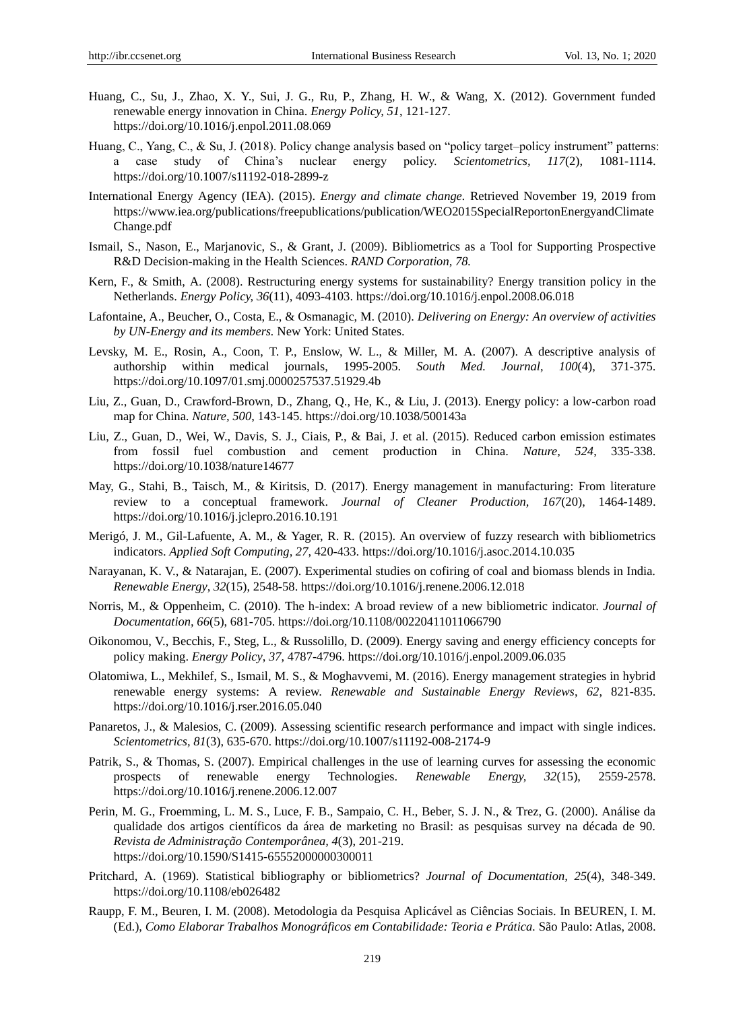- Huang, C., Su, J., Zhao, X. Y., Sui, J. G., Ru, P., Zhang, H. W., & Wang, X. (2012). Government funded renewable energy innovation in China. *Energy Policy, 51*, 121-127. <https://doi.org/10.1016/j.enpol.2011.08.069>
- Huang, C., Yang, C., & Su, J. (2018). Policy change analysis based on "policy target–policy instrument" patterns: a case study of China's nuclear energy policy. *Scientometrics, 117*(2), 1081-1114. <https://doi.org/10.1007/s11192-018-2899-z>
- International Energy Agency (IEA). (2015). *Energy and climate change.* Retrieved November 19, 2019 from [https://www.iea.org/publications/freepublications/publication/WEO2015SpecialReportonEnergyandClimate](https://www.iea.org/publications/freepublications/publication/WEO2015SpecialReportonEnergyandClimateChange.pdf) [Change.pdf](https://www.iea.org/publications/freepublications/publication/WEO2015SpecialReportonEnergyandClimateChange.pdf)
- Ismail, S., Nason, E., Marjanovic, S., & Grant, J. (2009). Bibliometrics as a Tool for Supporting Prospective R&D Decision-making in the Health Sciences. *RAND Corporation, 78.*
- Kern, F., & Smith, A. (2008). Restructuring energy systems for sustainability? Energy transition policy in the Netherlands. *Energy Policy, 36*(11), 4093-4103.<https://doi.org/10.1016/j.enpol.2008.06.018>
- Lafontaine, A., Beucher, O., Costa, E., & Osmanagic, M. (2010). *Delivering on Energy: An overview of activities by UN-Energy and its members.* New York: United States.
- Levsky, M. E., Rosin, A., Coon, T. P., Enslow, W. L., & Miller, M. A. (2007). A descriptive analysis of authorship within medical journals, 1995-2005. *South Med. Journal*, *100*(4), 371-375. <https://doi.org/10.1097/01.smj.0000257537.51929.4b>
- Liu, Z., Guan, D., Crawford-Brown, D., Zhang, Q., He, K., & Liu, J. (2013). Energy policy: a low-carbon road map for China. *Nature, 500*, 143-145. <https://doi.org/10.1038/500143a>
- Liu, Z., Guan, D., Wei, W., Davis, S. J., Ciais, P., & Bai, J. et al. (2015). Reduced carbon emission estimates from fossil fuel combustion and cement production in China. *Nature, 524*, 335-338. <https://doi.org/10.1038/nature14677>
- May, G., Stahi, B., Taisch, M., & Kiritsis, D. (2017). Energy management in manufacturing: From literature review to a conceptual framework. *Journal of Cleaner Production, 167*(20), 1464-1489. <https://doi.org/10.1016/j.jclepro.2016.10.191>
- Merigó, J. M., Gil-Lafuente, A. M., & Yager, R. R. (2015). An overview of fuzzy research with bibliometrics indicators. *Applied Soft Computing, 27*, 420-433.<https://doi.org/10.1016/j.asoc.2014.10.035>
- Narayanan, K. V., & Natarajan, E. (2007). Experimental studies on cofiring of coal and biomass blends in India. *Renewable Energy*, *32*(15), 2548-58.<https://doi.org/10.1016/j.renene.2006.12.018>
- Norris, M., & Oppenheim, C. (2010). The h-index: A broad review of a new bibliometric indicator. *Journal of Documentation, 66*(5), 681-705[. https://doi.org/10.1108/00220411011066790](https://doi.org/10.1108/00220411011066790)
- Oikonomou, V., Becchis, F., Steg, L., & Russolillo, D. (2009). Energy saving and energy efficiency concepts for policy making. *Energy Policy*, *37*, 4787-4796.<https://doi.org/10.1016/j.enpol.2009.06.035>
- Olatomiwa, L., Mekhilef, S., Ismail, M. S., & Moghavvemi, M. (2016). Energy management strategies in hybrid renewable energy systems: A review. *Renewable and Sustainable Energy Reviews*, *62*, 821-835. <https://doi.org/10.1016/j.rser.2016.05.040>
- Panaretos, J., & Malesios, C. (2009). Assessing scientific research performance and impact with single indices. *Scientometrics, 81*(3), 635-670.<https://doi.org/10.1007/s11192-008-2174-9>
- Patrik, S., & Thomas, S. (2007). Empirical challenges in the use of learning curves for assessing the economic prospects of renewable energy Technologies. *Renewable Energy, 32*(15), 2559-2578. <https://doi.org/10.1016/j.renene.2006.12.007>
- Perin, M. G., Froemming, L. M. S., Luce, F. B., Sampaio, C. H., Beber, S. J. N., & Trez, G. (2000). Análise da qualidade dos artigos científicos da área de marketing no Brasil: as pesquisas survey na década de 90. *Revista de Administração Contemporânea, 4*(3), 201-219. <https://doi.org/10.1590/S1415-65552000000300011>
- Pritchard, A. (1969). Statistical bibliography or bibliometrics? *Journal of Documentation, 25*(4), 348-349. <https://doi.org/10.1108/eb026482>
- Raupp, F. M., Beuren, I. M. (2008). Metodologia da Pesquisa Aplicável as Ciências Sociais. In BEUREN, I. M. (Ed.), *Como Elaborar Trabalhos Monográficos em Contabilidade: Teoria e Prática.* São Paulo: Atlas, 2008.